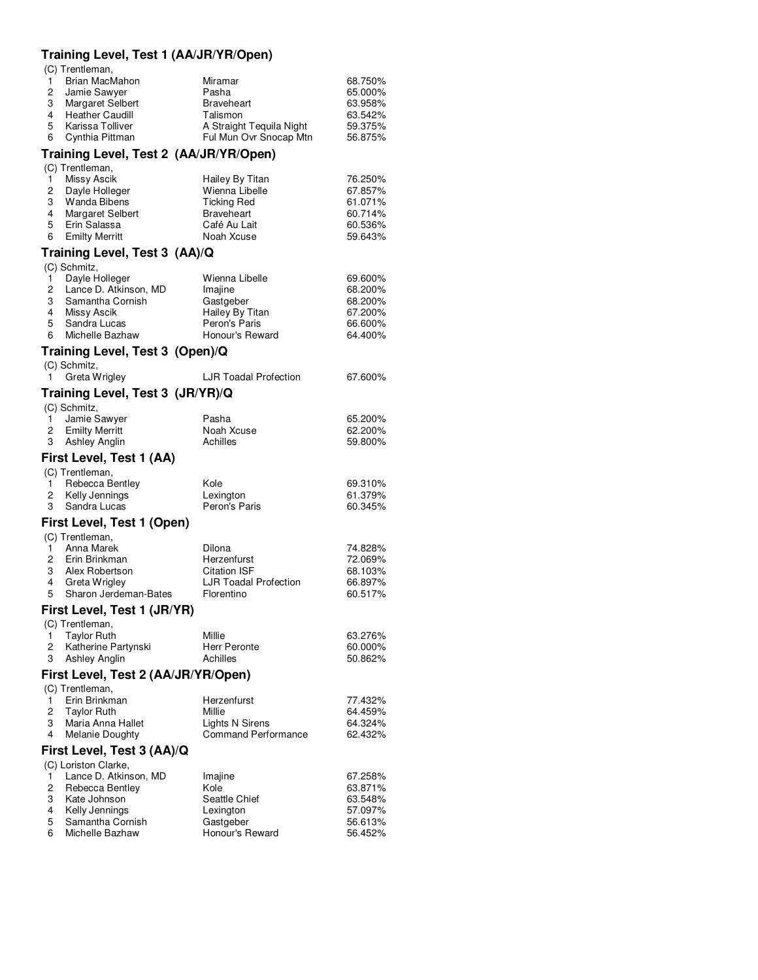## **Training Level, Test 1 (AA/JR/YR/Open)**

(C) Trentleman,

| $\mathbf{1}$ | Brian MacMahon     | Miramar                  | 68.750% |
|--------------|--------------------|--------------------------|---------|
|              | 2 Jamie Sawyer     | Pasha                    | 65.000% |
|              | 3 Margaret Selbert | <b>Braveheart</b>        | 63.958% |
|              | 4 Heather Caudill  | Talismon                 | 63.542% |
|              | 5 Karissa Tolliver | A Straight Tequila Night | 59.375% |
|              | 6 Cynthia Pittman  | Ful Mun Ovr Snocap Mtn   | 56.875% |

# **Training Level, Test 2 (AA/JR/YR/Open)**

| (C) Trentleman,    |                    |         |
|--------------------|--------------------|---------|
| Missy Ascik        | Hailey By Titan    | 76.250% |
| 2 Dayle Holleger   | Wienna Libelle     | 67.857% |
| 3 Wanda Bibens     | <b>Ticking Red</b> | 61.071% |
| 4 Margaret Selbert | <b>Braveheart</b>  | 60.714% |
| 5 Erin Salassa     | Café Au Lait       | 60.536% |
| 6 Emilty Merritt   | Noah Xcuse         | 59.643% |
|                    |                    |         |

## **Training Level, Test 3 (AA)/Q**

|   | (C) Schmitz,            |                 |         |
|---|-------------------------|-----------------|---------|
|   | Dayle Holleger          | Wienna Libelle  | 69.600% |
|   | 2 Lance D. Atkinson, MD | Imajine         | 68.200% |
|   | 3 Samantha Cornish      | Gastgeber       | 68.200% |
|   | Missy Ascik             | Hailey By Titan | 67.200% |
|   | 5 Sandra Lucas          | Peron's Paris   | 66.600% |
| 6 | Michelle Bazhaw         | Honour's Reward | 64.400% |
|   |                         |                 |         |

# **Training Level, Test 3 (Open)/Q**

| 1.           | (C) Schmitz,<br>Greta Wrigley       | <b>LJR Toadal Profection</b> | 67.600% |
|--------------|-------------------------------------|------------------------------|---------|
|              | Training Level, Test 3 (JR/YR)/Q    |                              |         |
|              | (C) Schmitz,                        |                              |         |
| 1.           | Jamie Sawyer                        | Pasha                        | 65.200% |
|              | 2 Emilty Merritt                    | Noah Xcuse                   | 62.200% |
|              | 3 Ashley Anglin                     | Achilles                     | 59.800% |
|              | First Level, Test 1 (AA)            |                              |         |
|              | (C) Trentleman,                     |                              |         |
| $1 \quad$    | Rebecca Bentley                     | Kole                         | 69.310% |
| $\mathbf{2}$ | Kelly Jennings                      | Lexington                    | 61.379% |
| 3            | Sandra Lucas                        | Peron's Paris                | 60.345% |
|              | First Level, Test 1 (Open)          |                              |         |
|              | (C) Trentleman,                     |                              |         |
|              | 1 Anna Marek                        | Dilona                       | 74.828% |
|              | 2 Erin Brinkman                     | Herzenfurst                  | 72.069% |
|              | 3 Alex Robertson                    | <b>Citation ISF</b>          | 68.103% |
|              | 4 Greta Wrigley                     | LJR Toadal Profection        | 66.897% |
| 5            | Sharon Jerdeman-Bates               | Florentino                   | 60.517% |
|              | First Level, Test 1 (JR/YR)         |                              |         |
|              | (C) Trentleman,                     |                              |         |
|              | 1 Taylor Ruth                       | Millie                       | 63.276% |
|              | 2 Katherine Partynski               | <b>Herr Peronte</b>          | 60.000% |
| 3            | <b>Ashley Anglin</b>                | Achilles                     | 50.862% |
|              | First Level, Test 2 (AA/JR/YR/Open) |                              |         |
|              | (C) Trentleman,                     |                              |         |
| 1.           | Erin Brinkman                       | Herzenfurst                  | 77.432% |
|              | 2 Taylor Ruth                       | Millie                       | 64.459% |
| 3            | Maria Anna Hallet                   | Lights N Sirens              | 64.324% |
| 4            | Melanie Doughty                     | Command Performance          | 62.432% |

# **First Level, Test 3 (AA)/Q**

| (C) Loriston Clarke,  |                 |         |
|-----------------------|-----------------|---------|
| Lance D. Atkinson, MD | Imajine         | 67.258% |
| 2 Rebecca Bentley     | Kole            | 63.871% |
| Kate Johnson          | Seattle Chief   | 63.548% |
| 4 Kelly Jennings      | Lexington       | 57.097% |
| 5 Samantha Cornish    | Gastgeber       | 56.613% |
| Michelle Bazhaw       | Honour's Reward | 56.452% |
|                       |                 |         |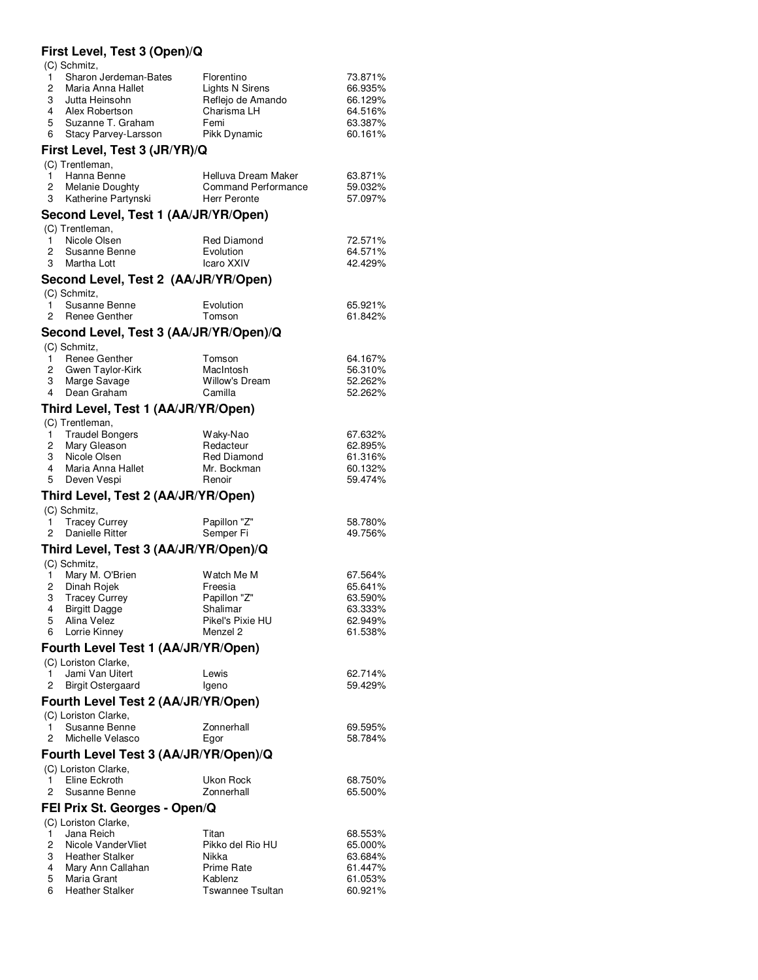## **First Level, Test 3 (Open)/Q**

|  | (C) Schmitz, |
|--|--------------|
|--|--------------|

 $(0)$  Trentleman

 $($ C $)$  Cohmitz

| 1 Sharon Jerdeman-Bates | Florentino        | 73.871% |
|-------------------------|-------------------|---------|
| 2 Maria Anna Hallet     | Lights N Sirens   | 66.935% |
| 3 Jutta Heinsohn        | Reflejo de Amando | 66.129% |
| 4 Alex Robertson        | Charisma LH       | 64.516% |
| 5 Suzanne T. Graham     | Femi              | 63.387% |
| 6 Stacy Parvey-Larsson  | Pikk Dynamic      | 60.161% |

### **First Level, Test 3 (JR/YR)/Q**

| $(U)$ requesions $U$ , |                     |         |
|------------------------|---------------------|---------|
| 1 Hanna Benne          | Helluva Dream Maker | 63.871% |
| 2 Melanie Doughty      | Command Performance | 59.032% |
| 3 Katherine Partynski  | Herr Peronte        | 57.097% |

### **Second Level, Test 1 (AA/JR/YR/Open)**

|               | (C) Trentleman, |             |         |
|---------------|-----------------|-------------|---------|
|               | Nicole Olsen    | Red Diamond | 72.571% |
|               | 2 Susanne Benne | Evolution   | 64.571% |
| $\mathcal{R}$ | Martha Lott     | Icaro XXIV  | 42.429% |

#### **Second Level, Test 2 (AA/JR/YR/Open)**  $(C)$  Schmitz

| $(U)$ Scrimitz, |           |         |
|-----------------|-----------|---------|
| 1 Susanne Benne | Evolution | 65.921% |
| 2 Renee Genther | Tomson    | 61.842% |

#### **Second Level, Test 3 (AA/JR/YR/Open)/Q**  $($ C $)$  Cohmitz

| $\cup$ , $\cup$ , $\cup$ , $\cup$ , $\cup$ |                       |         |
|--------------------------------------------|-----------------------|---------|
| Renee Genther                              | Tomson                | 64.167% |
| 2 Gwen Taylor-Kirk                         | MacIntosh             | 56.310% |
| Marge Savage<br>3                          | <b>Willow's Dream</b> | 52.262% |
| 4 Dean Graham                              | Camilla               | 52.262% |
|                                            |                       |         |

#### **Third Level, Test 1 (AA/JR/YR/Open)**  $($ C) Trentleman

| $(U)$ requirement.     |                    |         |
|------------------------|--------------------|---------|
| <b>Traudel Bongers</b> | Waky-Nao           | 67.632% |
| 2 Mary Gleason         | Redacteur          | 62.895% |
| 3 Nicole Olsen         | <b>Red Diamond</b> | 61.316% |
| Maria Anna Hallet      | Mr. Bockman        | 60.132% |
| 5 Deven Vespi          | Renoir             | 59.474% |
|                        |                    |         |

### **Third Level, Test 2 (AA/JR/YR/Open)**

| $(U)$ Scrimitz, |                   |              |         |  |
|-----------------|-------------------|--------------|---------|--|
|                 | 1 Tracey Currey   | Papillon "Z" | 58.780% |  |
|                 | 2 Danielle Ritter | Semper Fi    | 49.756% |  |

### **Third Level, Test 3 (AA/JR/YR/Open)/Q**

| (C) Schmitz,    |                  |         |
|-----------------|------------------|---------|
| Mary M. O'Brien | Watch Me M       | 67.564% |
| 2 Dinah Rojek   | Freesia          | 65.641% |
| 3 Tracey Currey | Papillon "Z"     | 63.590% |
| 4 Birgitt Dagge | Shalimar         | 63.333% |
| 5 Alina Velez   | Pikel's Pixie HU | 62.949% |
| 6 Lorrie Kinney | Menzel 2         | 61.538% |
|                 |                  |         |

### **Fourth Level Test 1 (AA/JR/YR/Open)**

| (C) Loriston Clarke, |                     |       |         |  |
|----------------------|---------------------|-------|---------|--|
|                      | Jami Van Uitert     | Lewis | 62.714% |  |
|                      | 2 Birgit Ostergaard | lgeno | 59.429% |  |

### **Fourth Level Test 2 (AA/JR/YR/Open)** (C) Loriston Clarke,

|                                       | 1 Susanne Benne     | Zonnerhall | 69.595% |  |  |
|---------------------------------------|---------------------|------------|---------|--|--|
|                                       |                     |            |         |  |  |
|                                       | 2 Michelle Velasco  | Eaor       | 58.784% |  |  |
| Fourth Level Test 3 (AA/JR/YR/Open)/Q |                     |            |         |  |  |
|                                       | ∩C) Loriston Clarke |            |         |  |  |

| $\overline{U}$ Luistur Viaint, |            |         |
|--------------------------------|------------|---------|
| 1 Eline Eckroth                | Ukon Rock  | 68.750% |
| 2 Susanne Benne                | Zonnerhall | 65.500% |

### **FEI Prix St. Georges - Open/Q**

|              | (C) Loriston Clarke,  |                         |         |
|--------------|-----------------------|-------------------------|---------|
| $\mathbf{1}$ | Jana Reich            | Titan                   | 68.553% |
|              | 2 Nicole Vander Vliet | Pikko del Rio HU        | 65.000% |
|              | 3 Heather Stalker     | Nikka                   | 63.684% |
| 4            | Mary Ann Callahan     | <b>Prime Rate</b>       | 61.447% |
|              | 5 Maria Grant         | Kablenz                 | 61.053% |
|              | 6 Heather Stalker     | <b>Tswannee Tsultan</b> | 60.921% |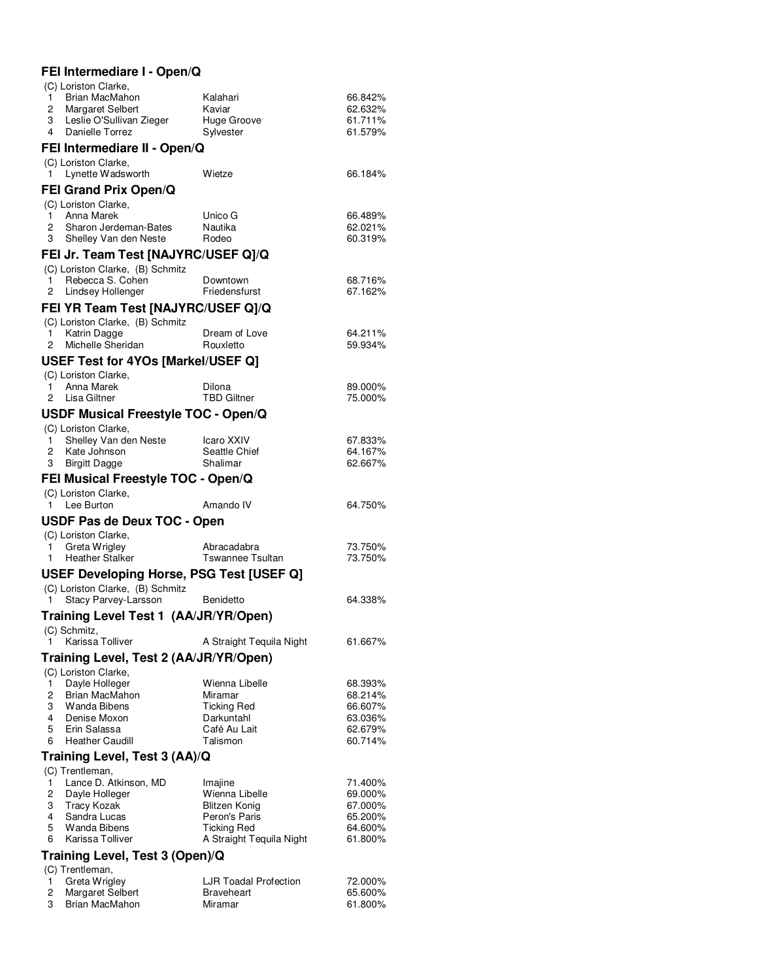# **FEI Intermediare I - Open/Q**

|        | (C) Loriston Clarke,                     |                                                |         |
|--------|------------------------------------------|------------------------------------------------|---------|
| 1.     | Brian MacMahon                           | Kalahari                                       | 66.842% |
| 2      | Margaret Selbert                         | Kaviar                                         | 62.632% |
| 3      | Leslie O'Sullivan Zieger                 | Huge Groove                                    | 61.711% |
|        | 4 Danielle Torrez                        | Sylvester                                      | 61.579% |
|        | FEI Intermediare II - Open/Q             |                                                |         |
|        | (C) Loriston Clarke,                     |                                                |         |
| 1.     | Lynette Wadsworth                        | Wietze                                         | 66.184% |
|        | <b>FEI Grand Prix Open/Q</b>             |                                                |         |
|        | (C) Loriston Clarke,                     |                                                |         |
| 1.     | Anna Marek                               | Unico G                                        | 66.489% |
| $^{2}$ | Sharon Jerdeman-Bates                    | Nautika                                        | 62.021% |
| 3      | Shelley Van den Neste                    | Rodeo                                          | 60.319% |
|        | FEI Jr. Team Test [NAJYRC/USEF Q]/Q      |                                                |         |
|        | (C) Loriston Clarke, (B) Schmitz         |                                                |         |
| 1.     | Rebecca S. Cohen                         | Downtown                                       | 68.716% |
| 2      | Lindsey Hollenger                        | Friedensfurst                                  | 67.162% |
|        | FEI YR Team Test [NAJYRC/USEF Q]/Q       |                                                |         |
|        | (C) Loriston Clarke, (B) Schmitz         |                                                |         |
| 1      | Katrin Dagge                             | Dream of Love                                  | 64.211% |
| 2      | Michelle Sheridan                        | Rouxletto                                      | 59.934% |
|        | USEF Test for 4YOs [Markel/USEF Q]       |                                                |         |
|        | (C) Loriston Clarke,                     |                                                |         |
| 1      | Anna Marek                               | Dilona                                         | 89.000% |
| 2      | Lisa Giltner                             | <b>TBD Giltner</b>                             | 75.000% |
|        | USDF Musical Freestyle TOC - Open/Q      |                                                |         |
|        | (C) Loriston Clarke,                     |                                                |         |
| 1      | Shelley Van den Neste                    | Icaro XXIV                                     | 67.833% |
| 2      | Kate Johnson                             | Seattle Chief                                  | 64.167% |
| 3      | <b>Birgitt Dagge</b>                     | Shalimar                                       | 62.667% |
|        | FEI Musical Freestyle TOC - Open/Q       |                                                |         |
|        | (C) Loriston Clarke,                     |                                                |         |
|        | 1 Lee Burton                             | Amando IV                                      | 64.750% |
|        | USDF Pas de Deux TOC - Open              |                                                |         |
|        | (C) Loriston Clarke,                     |                                                |         |
| 1.     | Greta Wrigley                            | Abracadabra                                    | 73.750% |
| 1      | <b>Heather Stalker</b>                   | <b>Tswannee Tsultan</b>                        | 73.750% |
|        | USEF Developing Horse, PSG Test [USEF Q] |                                                |         |
|        | (C) Loriston Clarke, (B) Schmitz         |                                                |         |
| 1      | Stacy Parvey-Larsson                     | <b>Benidetto</b>                               | 64.338% |
|        | Training Level Test 1 (AA/JR/YR/Open)    |                                                |         |
|        | (C) Schmitz,                             |                                                |         |
| 1      | Karissa Tolliver                         | A Straight Tequila Night                       | 61.667% |
|        |                                          |                                                |         |
|        | Training Level, Test 2 (AA/JR/YR/Open)   |                                                |         |
|        | (C) Loriston Clarke,<br>Dayle Holleger   | Wienna Libelle                                 | 68.393% |
| 1<br>2 | Brian MacMahon                           | Miramar                                        | 68.214% |
| 3      | Wanda Bibens                             | <b>Ticking Red</b>                             | 66.607% |
| 4      | Denise Moxon                             | Darkuntahl                                     | 63.036% |
| 5      | Erin Salassa                             | Café Au Lait                                   | 62.679% |
| 6      | <b>Heather Caudill</b>                   | Talismon                                       | 60.714% |
|        | Training Level, Test 3 (AA)/Q            |                                                |         |
|        | (C) Trentleman,                          |                                                |         |
| 1      | Lance D. Atkinson, MD                    | Imajine                                        | 71.400% |
| 2      | Dayle Holleger                           | Wienna Libelle                                 | 69.000% |
| 3      | <b>Tracy Kozak</b>                       | Blitzen Konig                                  | 67.000% |
| 4      | Sandra Lucas                             | Peron's Paris                                  | 65.200% |
| 5<br>6 | Wanda Bibens<br>Karissa Tolliver         | <b>Ticking Red</b><br>A Straight Tequila Night | 64.600% |
|        |                                          |                                                | 61.800% |
|        | Training Level, Test 3 (Open)/Q          |                                                |         |
|        | (C) Trentleman,                          |                                                |         |
| 1      | Greta Wrigley                            | LJR Toadal Profection                          | 72.000% |
| 2      | Margaret Selbert                         | <b>Braveheart</b>                              | 65.600% |

3 Brian MacMahon Miramar 61.800%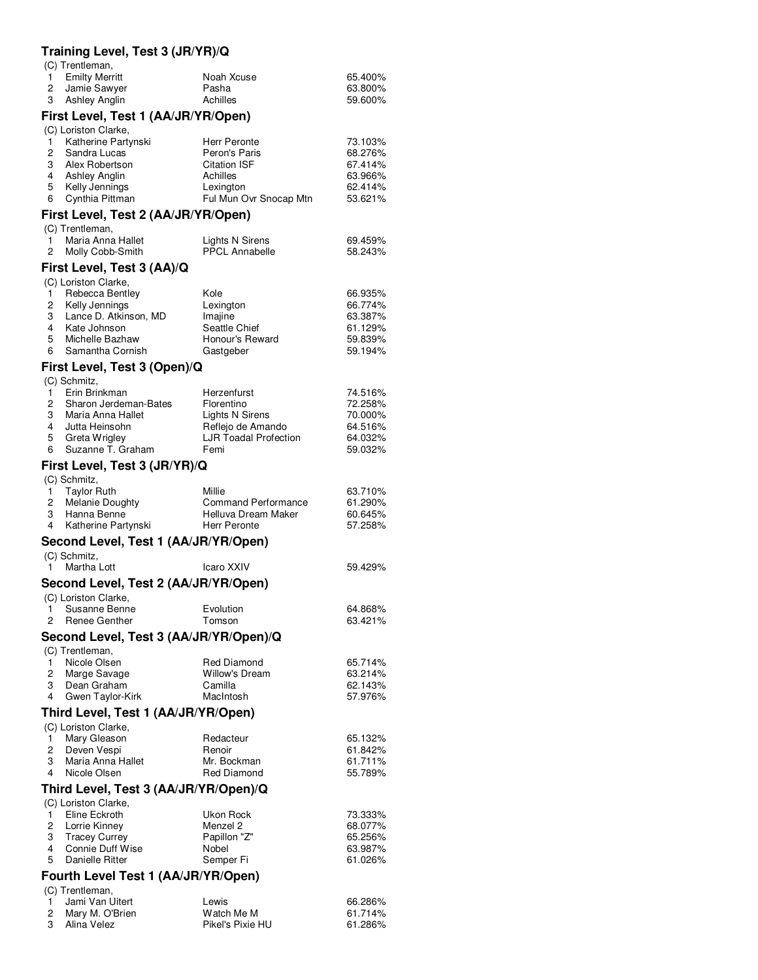# **Training Level, Test 3 (JR/YR)/Q**

| (C) Trentleman,                                  |                                      |                    |
|--------------------------------------------------|--------------------------------------|--------------------|
| <b>Emilty Merritt</b><br>1.                      | Noah Xcuse                           | 65.400%            |
| 2<br>Jamie Sawyer<br>3<br><b>Ashley Anglin</b>   | Pasha<br>Achilles                    | 63.800%<br>59.600% |
|                                                  |                                      |                    |
| First Level, Test 1 (AA/JR/YR/Open)              |                                      |                    |
| (C) Loriston Clarke,<br>Katherine Partynski<br>1 | Herr Peronte                         | 73.103%            |
| 2<br>Sandra Lucas                                | Peron's Paris                        | 68.276%            |
| 3<br>Alex Robertson                              | <b>Citation ISF</b>                  | 67.414%            |
| 4 Ashley Anglin                                  | Achilles                             | 63.966%            |
| 5<br>Kelly Jennings                              | Lexington                            | 62.414%            |
| Cynthia Pittman<br>6                             | Ful Mun Ovr Snocap Mtn               | 53.621%            |
| First Level, Test 2 (AA/JR/YR/Open)              |                                      |                    |
| (C) Trentleman,                                  |                                      |                    |
| Maria Anna Hallet<br>1.                          | Lights N Sirens                      | 69.459%            |
| 2<br>Molly Cobb-Smith                            | <b>PPCL Annabelle</b>                | 58.243%            |
| First Level, Test 3 (AA)/Q                       |                                      |                    |
| (C) Loriston Clarke,                             |                                      |                    |
| Rebecca Bentley<br>1.<br>Kelly Jennings          | Kole<br>Lexington                    | 66.935%            |
| 2<br>3<br>Lance D. Atkinson, MD                  | Imajine                              | 66.774%<br>63.387% |
| 4<br>Kate Johnson                                | Seattle Chief                        | 61.129%            |
| 5<br>Michelle Bazhaw                             | Honour's Reward                      | 59.839%            |
| 6<br>Samantha Cornish                            | Gastgeber                            | 59.194%            |
| First Level, Test 3 (Open)/Q                     |                                      |                    |
| (C) Schmitz,                                     |                                      |                    |
| Erin Brinkman<br>1.                              | Herzenfurst                          | 74.516%            |
| 2<br>Sharon Jerdeman-Bates                       | Florentino                           | 72.258%            |
| 3 Maria Anna Hallet                              | Lights N Sirens                      | 70.000%            |
| 4 Jutta Heinsohn                                 | Reflejo de Amando                    | 64.516%            |
| 5<br>Greta Wrigley<br>Suzanne T. Graham<br>6     | <b>LJR Toadal Profection</b><br>Femi | 64.032%<br>59.032% |
|                                                  |                                      |                    |
| First Level, Test 3 (JR/YR)/Q                    |                                      |                    |
| (C) Schmitz,<br><b>Taylor Ruth</b><br>1.         | Millie                               | 63.710%            |
| 2<br><b>Melanie Doughty</b>                      | <b>Command Performance</b>           | 61.290%            |
| 3<br>Hanna Benne                                 | Helluva Dream Maker                  | 60.645%            |
| 4<br>Katherine Partynski                         | Herr Peronte                         | 57.258%            |
| Second Level, Test 1 (AA/JR/YR/Open)             |                                      |                    |
| (C) Schmitz,                                     |                                      |                    |
| Martha Lott<br>1.                                | Icaro XXIV                           | 59.429%            |
| Second Level, Test 2 (AA/JR/YR/Open)             |                                      |                    |
| (C) Loriston Clarke,                             |                                      |                    |
| Susanne Benne<br>1                               | Evolution                            | 64.868%            |
| 2<br>Renee Genther                               | Tomson                               | 63.421%            |
| Second Level, Test 3 (AA/JR/YR/Open)/Q           |                                      |                    |
| (C) Trentleman,                                  |                                      |                    |
| Nicole Olsen<br>1                                | <b>Red Diamond</b>                   | 65.714%            |
| 2<br>Marge Savage                                | <b>Willow's Dream</b>                | 63.214%            |
| Dean Graham<br>3                                 | Camilla                              | 62.143%            |
| 4<br>Gwen Taylor-Kirk                            | MacIntosh                            | 57.976%            |
| Third Level, Test 1 (AA/JR/YR/Open)              |                                      |                    |
| (C) Loriston Clarke,                             |                                      |                    |
| Mary Gleason<br>1                                | Redacteur                            | 65.132%            |
| 2<br>Deven Vespi<br>Maria Anna Hallet<br>3       | Renoir<br>Mr. Bockman                | 61.842%<br>61.711% |
| Nicole Olsen<br>4                                | Red Diamond                          | 55.789%            |
|                                                  |                                      |                    |
| Third Level, Test 3 (AA/JR/YR/Open)/Q            |                                      |                    |
| (C) Loriston Clarke,<br>Eline Eckroth<br>1       | Ukon Rock                            | 73.333%            |
| 2<br>Lorrie Kinney                               | Menzel 2                             | 68.077%            |
| 3<br><b>Tracey Currey</b>                        | Papillon "Z"                         | 65.256%            |
| Connie Duff Wise<br>4                            | Nobel                                | 63.987%            |
| Danielle Ritter<br>5                             | Semper Fi                            | 61.026%            |
| Fourth Level Test 1 (AA/JR/YR/Open)              |                                      |                    |
| (C) Trentleman,                                  |                                      |                    |
| Jami Van Uitert<br>1.                            | Lewis                                | 66.286%            |
| Mary M. O'Brien<br>$\overline{c}$                | Watch Me M                           | 61.714%            |
| 3<br>Alina Velez                                 | Pikel's Pixie HU                     | 61.286%            |